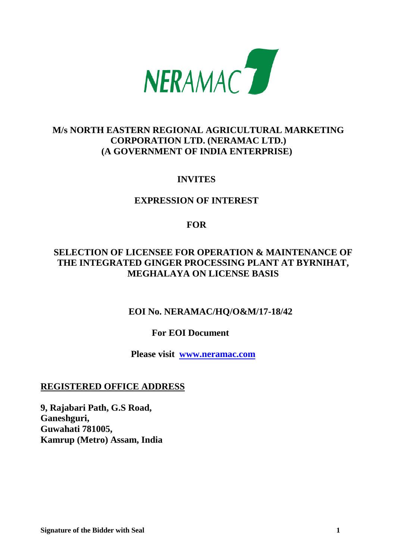

# **M/s NORTH EASTERN REGIONAL AGRICULTURAL MARKETING CORPORATION LTD. (NERAMAC LTD.) (A GOVERNMENT OF INDIA ENTERPRISE)**

# **INVITES**

# **EXPRESSION OF INTEREST**

# **FOR**

# **SELECTION OF LICENSEE FOR OPERATION & MAINTENANCE OF THE INTEGRATED GINGER PROCESSING PLANT AT BYRNIHAT, MEGHALAYA ON LICENSE BASIS**

# **EOI No. NERAMAC/HQ/O&M/17-18/42**

# **For EOI Document**

 **Please visit [www.neramac.com](http://www.neramac.com/)**

# **REGISTERED OFFICE ADDRESS**

**9, Rajabari Path, G.S Road, Ganeshguri, Guwahati 781005, Kamrup (Metro) Assam, India**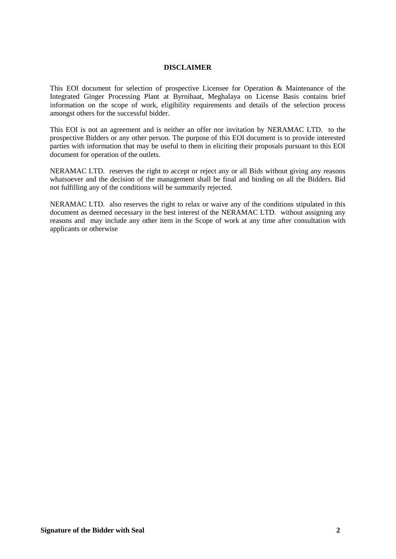#### **DISCLAIMER**

This EOI document for selection of prospective Licensee for Operation & Maintenance of the Integrated Ginger Processing Plant at Byrnihaat, Meghalaya on License Basis contains brief information on the scope of work, eligibility requirements and details of the selection process amongst others for the successful bidder.

This EOI is not an agreement and is neither an offer nor invitation by NERAMAC LTD. to the prospective Bidders or any other person. The purpose of this EOI document is to provide interested parties with information that may be useful to them in eliciting their proposals pursuant to this EOI document for operation of the outlets.

NERAMAC LTD. reserves the right to accept or reject any or all Bids without giving any reasons whatsoever and the decision of the management shall be final and binding on all the Bidders. Bid not fulfilling any of the conditions will be summarily rejected.

NERAMAC LTD. also reserves the right to relax or waive any of the conditions stipulated in this document as deemed necessary in the best interest of the NERAMAC LTD. without assigning any reasons and may include any other item in the Scope of work at any time after consultation with applicants or otherwise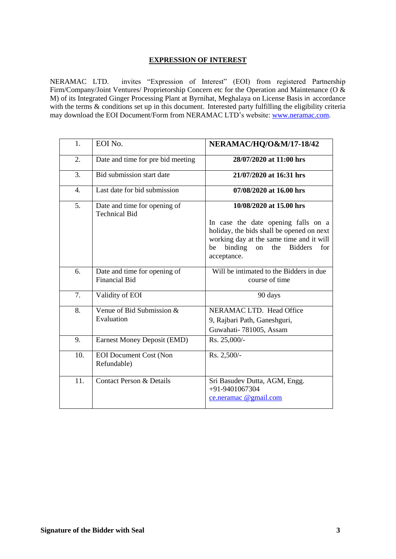## **EXPRESSION OF INTEREST**

NERAMAC LTD. invites "Expression of Interest" (EOI) from registered Partnership Firm/Company/Joint Ventures/ Proprietorship Concern etc for the Operation and Maintenance (O & M) of its Integrated Ginger Processing Plant at Byrnihat, Meghalaya on License Basis in accordance with the terms & conditions set up in this document. Interested party fulfilling the eligibility criteria may download the EOI Document/Form from NERAMAC LTD's website: [www.neramac.com.](http://www.neramac.com/)

| 1.               | EOI No.                                              | NERAMAC/HQ/O&M/17-18/42                                                                                                                                                                            |
|------------------|------------------------------------------------------|----------------------------------------------------------------------------------------------------------------------------------------------------------------------------------------------------|
| 2.               | Date and time for pre bid meeting                    | 28/07/2020 at 11:00 hrs                                                                                                                                                                            |
| 3.               | Bid submission start date                            | 21/07/2020 at 16:31 hrs                                                                                                                                                                            |
| $\overline{4}$ . | Last date for bid submission                         | 07/08/2020 at 16.00 hrs                                                                                                                                                                            |
| 5.               | Date and time for opening of<br><b>Technical Bid</b> | 10/08/2020 at 15.00 hrs                                                                                                                                                                            |
|                  |                                                      | In case the date opening falls on a<br>holiday, the bids shall be opened on next<br>working day at the same time and it will<br><b>Bidders</b><br>binding<br>the<br>for<br>be<br>on<br>acceptance. |
| 6.               | Date and time for opening of<br><b>Financial Bid</b> | Will be intimated to the Bidders in due<br>course of time                                                                                                                                          |
| 7.               | Validity of EOI                                      | 90 days                                                                                                                                                                                            |
| 8.               | Venue of Bid Submission &<br>Evaluation              | NERAMAC LTD. Head Office<br>9, Rajbari Path, Ganeshguri,<br>Guwahati-781005, Assam                                                                                                                 |
| 9.               | <b>Earnest Money Deposit (EMD)</b>                   | Rs. 25,000/-                                                                                                                                                                                       |
| 10.              | <b>EOI</b> Document Cost (Non<br>Refundable)         | Rs. 2,500/-                                                                                                                                                                                        |
| 11.              | <b>Contact Person &amp; Details</b>                  | Sri Basudev Dutta, AGM, Engg.<br>+91-9401067304<br>ce.neramac @gmail.com                                                                                                                           |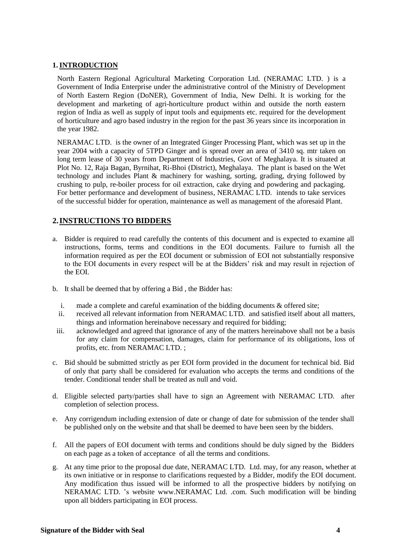## **1.INTRODUCTION**

North Eastern Regional Agricultural Marketing Corporation Ltd. (NERAMAC LTD. ) is a Government of India Enterprise under the administrative control of the Ministry of Development of North Eastern Region (DoNER), Government of India, New Delhi. It is working for the development and marketing of agri-horticulture product within and outside the north eastern region of India as well as supply of input tools and equipments etc. required for the development of horticulture and agro based industry in the region for the past 36 years since its incorporation in the year 1982.

NERAMAC LTD. is the owner of an Integrated Ginger Processing Plant, which was set up in the year 2004 with a capacity of 5TPD Ginger and is spread over an area of 3410 sq. mtr taken on long term lease of 30 years from Department of Industries, Govt of Meghalaya. It is situated at Plot No. 12, Raja Bagan, Byrnihat, Ri-Bhoi (District), Meghalaya. The plant is based on the Wet technology and includes Plant & machinery for washing, sorting, grading, drying followed by crushing to pulp, re-boiler process for oil extraction, cake drying and powdering and packaging. For better performance and development of business, NERAMAC LTD. intends to take services of the successful bidder for operation, maintenance as well as management of the aforesaid Plant.

## **2.INSTRUCTIONS TO BIDDERS**

- a. Bidder is required to read carefully the contents of this document and is expected to examine all instructions, forms, terms and conditions in the EOI documents. Failure to furnish all the information required as per the EOI document or submission of EOI not substantially responsive to the EOI documents in every respect will be at the Bidders' risk and may result in rejection of the EOI.
- b. It shall be deemed that by offering a Bid , the Bidder has:
	- i. made a complete and careful examination of the bidding documents  $\&$  offered site;
	- ii. received all relevant information from NERAMAC LTD. and satisfied itself about all matters, things and information hereinabove necessary and required for bidding;
- iii. acknowledged and agreed that ignorance of any of the matters hereinabove shall not be a basis for any claim for compensation, damages, claim for performance of its obligations, loss of profits, etc. from NERAMAC LTD. ;
- c. Bid should be submitted strictly as per EOI form provided in the document for technical bid. Bid of only that party shall be considered for evaluation who accepts the terms and conditions of the tender. Conditional tender shall be treated as null and void.
- d. Eligible selected party/parties shall have to sign an Agreement with NERAMAC LTD. after completion of selection process.
- e. Any corrigendum including extension of date or change of date for submission of the tender shall be published only on the website and that shall be deemed to have been seen by the bidders.
- f. All the papers of EOI document with terms and conditions should be duly signed by the Bidders on each page as a token of acceptance of all the terms and conditions.
- g. At any time prior to the proposal due date, NERAMAC LTD. Ltd. may, for any reason, whether at its own initiative or in response to clarifications requested by a Bidder, modify the EOI document. Any modification thus issued will be informed to all the prospective bidders by notifying on NERAMAC LTD. 's website [www.NERAMAC Ltd. .com.](http://www.neramac.com/) Such modification will be binding upon all bidders participating in EOI process.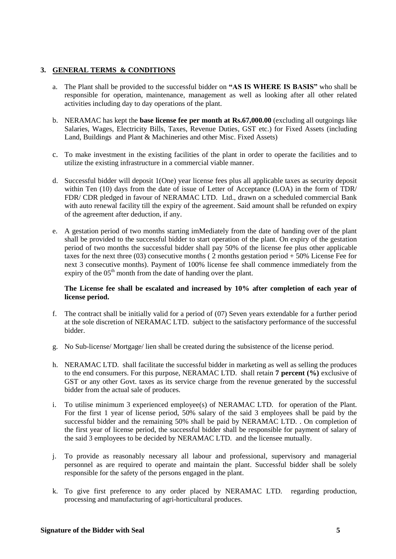## **3. GENERAL TERMS & CONDITIONS**

- a. The Plant shall be provided to the successful bidder on **"AS IS WHERE IS BASIS"** who shall be responsible for operation, maintenance, management as well as looking after all other related activities including day to day operations of the plant.
- b. NERAMAC has kept the **base license fee per month at Rs.67,000.00** (excluding all outgoings like Salaries, Wages, Electricity Bills, Taxes, Revenue Duties, GST etc.) for Fixed Assets (including Land, Buildings and Plant & Machineries and other Misc. Fixed Assets)
- c. To make investment in the existing facilities of the plant in order to operate the facilities and to utilize the existing infrastructure in a commercial viable manner.
- d. Successful bidder will deposit 1(One) year license fees plus all applicable taxes as security deposit within Ten (10) days from the date of issue of Letter of Acceptance (LOA) in the form of TDR/ FDR/ CDR pledged in favour of NERAMAC LTD. Ltd., drawn on a scheduled commercial Bank with auto renewal facility till the expiry of the agreement. Said amount shall be refunded on expiry of the agreement after deduction, if any.
- e. A gestation period of two months starting imMediately from the date of handing over of the plant shall be provided to the successful bidder to start operation of the plant. On expiry of the gestation period of two months the successful bidder shall pay 50% of the license fee plus other applicable taxes for the next three (03) consecutive months ( $\overline{2}$  months gestation period + 50% License Fee for next 3 consecutive months). Payment of 100% license fee shall commence immediately from the expiry of the  $05<sup>th</sup>$  month from the date of handing over the plant.

### **The License fee shall be escalated and increased by 10% after completion of each year of license period.**

- f. The contract shall be initially valid for a period of (07) Seven years extendable for a further period at the sole discretion of NERAMAC LTD. subject to the satisfactory performance of the successful bidder.
- g. No Sub-license/ Mortgage/ lien shall be created during the subsistence of the license period.
- h. NERAMAC LTD. shall facilitate the successful bidder in marketing as well as selling the produces to the end consumers. For this purpose, NERAMAC LTD. shall retain **7 percent (%)** exclusive of GST or any other Govt. taxes as its service charge from the revenue generated by the successful bidder from the actual sale of produces.
- i. To utilise minimum 3 experienced employee(s) of NERAMAC LTD. for operation of the Plant. For the first 1 year of license period, 50% salary of the said 3 employees shall be paid by the successful bidder and the remaining 50% shall be paid by NERAMAC LTD. . On completion of the first year of license period, the successful bidder shall be responsible for payment of salary of the said 3 employees to be decided by NERAMAC LTD. and the licensee mutually.
- j. To provide as reasonably necessary all labour and professional, supervisory and managerial personnel as are required to operate and maintain the plant. Successful bidder shall be solely responsible for the safety of the persons engaged in the plant.
- k. To give first preference to any order placed by NERAMAC LTD. regarding production, processing and manufacturing of agri-horticultural produces.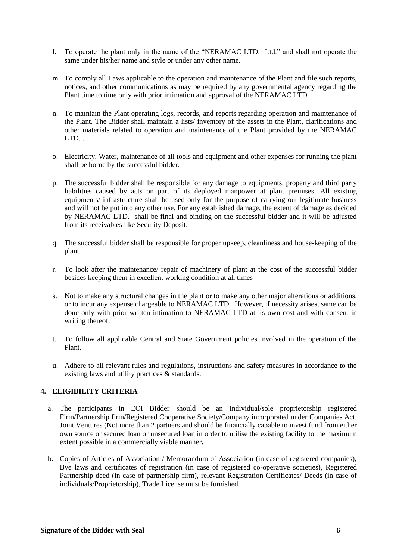- l. To operate the plant only in the name of the "NERAMAC LTD. Ltd." and shall not operate the same under his/her name and style or under any other name.
- m. To comply all Laws applicable to the operation and maintenance of the Plant and file such reports, notices, and other communications as may be required by any governmental agency regarding the Plant time to time only with prior intimation and approval of the NERAMAC LTD.
- n. To maintain the Plant operating logs, records, and reports regarding operation and maintenance of the Plant. The Bidder shall maintain a lists/ inventory of the assets in the Plant, clarifications and other materials related to operation and maintenance of the Plant provided by the NERAMAC LTD. .
- o. Electricity, Water, maintenance of all tools and equipment and other expenses for running the plant shall be borne by the successful bidder.
- p. The successful bidder shall be responsible for any damage to equipments, property and third party liabilities caused by acts on part of its deployed manpower at plant premises. All existing equipments/ infrastructure shall be used only for the purpose of carrying out legitimate business and will not be put into any other use. For any established damage, the extent of damage as decided by NERAMAC LTD. shall be final and binding on the successful bidder and it will be adjusted from its receivables like Security Deposit.
- q. The successful bidder shall be responsible for proper upkeep, cleanliness and house-keeping of the plant.
- r. To look after the maintenance/ repair of machinery of plant at the cost of the successful bidder besides keeping them in excellent working condition at all times
- s. Not to make any structural changes in the plant or to make any other major alterations or additions, or to incur any expense chargeable to NERAMAC LTD. However, if necessity arises, same can be done only with prior written intimation to NERAMAC LTD at its own cost and with consent in writing thereof.
- t. To follow all applicable Central and State Government policies involved in the operation of the Plant.
- u. Adhere to all relevant rules and regulations, instructions and safety measures in accordance to the existing laws and utility practices & standards.

## **4. ELIGIBILITY CRITERIA**

- a. The participants in EOI Bidder should be an Individual/sole proprietorship registered Firm/Partnership firm/Registered Cooperative Society/Company incorporated under Companies Act, Joint Ventures (Not more than 2 partners and should be financially capable to invest fund from either own source or secured loan or unsecured loan in order to utilise the existing facility to the maximum extent possible in a commercially viable manner.
- b. Copies of Articles of Association / Memorandum of Association (in case of registered companies), Bye laws and certificates of registration (in case of registered co-operative societies), Registered Partnership deed (in case of partnership firm), relevant Registration Certificates/ Deeds (in case of individuals/Proprietorship), Trade License must be furnished.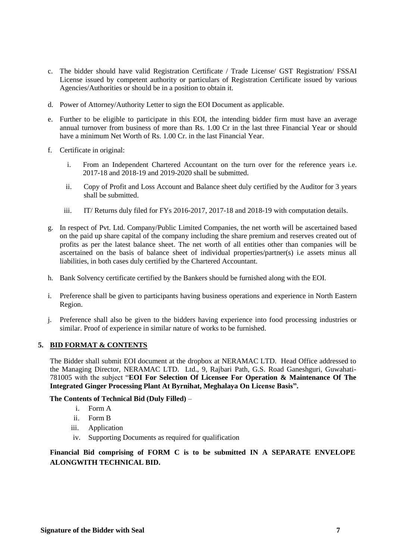- c. The bidder should have valid Registration Certificate / Trade License/ GST Registration/ FSSAI License issued by competent authority or particulars of Registration Certificate issued by various Agencies/Authorities or should be in a position to obtain it.
- d. Power of Attorney/Authority Letter to sign the EOI Document as applicable.
- e. Further to be eligible to participate in this EOI, the intending bidder firm must have an average annual turnover from business of more than Rs. 1.00 Cr in the last three Financial Year or should have a minimum Net Worth of Rs. 1.00 Cr. in the last Financial Year.
- f. Certificate in original:
	- i. From an Independent Chartered Accountant on the turn over for the reference years i.e. 2017-18 and 2018-19 and 2019-2020 shall be submitted.
	- ii. Copy of Profit and Loss Account and Balance sheet duly certified by the Auditor for 3 years shall be submitted.
	- iii. IT/ Returns duly filed for FYs 2016-2017, 2017-18 and 2018-19 with computation details.
- g. In respect of Pvt. Ltd. Company/Public Limited Companies, the net worth will be ascertained based on the paid up share capital of the company including the share premium and reserves created out of profits as per the latest balance sheet. The net worth of all entities other than companies will be ascertained on the basis of balance sheet of individual properties/partner(s) i.e assets minus all liabilities, in both cases duly certified by the Chartered Accountant.
- h. Bank Solvency certificate certified by the Bankers should be furnished along with the EOI.
- i. Preference shall be given to participants having business operations and experience in North Eastern Region.
- j. Preference shall also be given to the bidders having experience into food processing industries or similar. Proof of experience in similar nature of works to be furnished.

### **5. BID FORMAT & CONTENTS**

The Bidder shall submit EOI document at the dropbox at NERAMAC LTD. Head Office addressed to the Managing Director, NERAMAC LTD. Ltd., 9, Rajbari Path, G.S. Road Ganeshguri, Guwahati-781005 with the subject "**EOI For Selection Of Licensee For Operation & Maintenance Of The Integrated Ginger Processing Plant At Byrnihat, Meghalaya On License Basis".**

### **The Contents of Technical Bid (Duly Filled)** –

- i. Form A
- ii. Form B
- iii. Application
- iv. Supporting Documents as required for qualification

**Financial Bid comprising of FORM C is to be submitted IN A SEPARATE ENVELOPE ALONGWITH TECHNICAL BID.**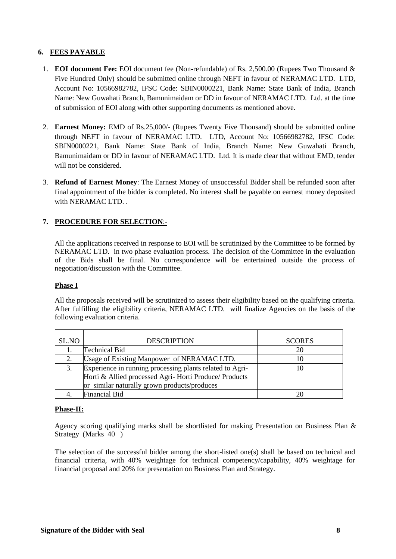## **6. FEES PAYABLE**

- 1. **EOI document Fee:** EOI document fee (Non-refundable) of Rs. 2,500.00 (Rupees Two Thousand & Five Hundred Only) should be submitted online through NEFT in favour of NERAMAC LTD. LTD, Account No: 10566982782, IFSC Code: SBIN0000221, Bank Name: State Bank of India, Branch Name: New Guwahati Branch, Bamunimaidam or DD in favour of NERAMAC LTD. Ltd. at the time of submission of EOI along with other supporting documents as mentioned above.
- 2. **Earnest Money:** EMD of Rs.25,000/- (Rupees Twenty Five Thousand) should be submitted online through NEFT in favour of NERAMAC LTD. LTD, Account No: 10566982782, IFSC Code: SBIN0000221, Bank Name: State Bank of India, Branch Name: New Guwahati Branch, Bamunimaidam or DD in favour of NERAMAC LTD. Ltd. It is made clear that without EMD, tender will not be considered.
- 3. **Refund of Earnest Money**: The Earnest Money of unsuccessful Bidder shall be refunded soon after final appointment of the bidder is completed. No interest shall be payable on earnest money deposited with NERAMAC LTD.

# **7. PROCEDURE FOR SELECTION**:-

All the applications received in response to EOI will be scrutinized by the Committee to be formed by NERAMAC LTD. in two phase evaluation process. The decision of the Committee in the evaluation of the Bids shall be final. No correspondence will be entertained outside the process of negotiation/discussion with the Committee.

### **Phase I**

All the proposals received will be scrutinized to assess their eligibility based on the qualifying criteria. After fulfilling the eligibility criteria, NERAMAC LTD. will finalize Agencies on the basis of the following evaluation criteria.

| SL.NO | <b>DESCRIPTION</b>                                                                                                                                                | <b>SCORES</b> |
|-------|-------------------------------------------------------------------------------------------------------------------------------------------------------------------|---------------|
|       | Technical Bid                                                                                                                                                     | 20            |
|       | Usage of Existing Manpower of NERAMAC LTD.                                                                                                                        |               |
|       | Experience in running processing plants related to Agri-<br>Horti & Allied processed Agri-Horti Produce/ Products<br>or similar naturally grown products/produces |               |
|       | <b>Financial Bid</b>                                                                                                                                              |               |

### **Phase-II:**

Agency scoring qualifying marks shall be shortlisted for making Presentation on Business Plan & Strategy (Marks 40 )

The selection of the successful bidder among the short-listed one(s) shall be based on technical and financial criteria, with 40% weightage for technical competency/capability, 40% weightage for financial proposal and 20% for presentation on Business Plan and Strategy.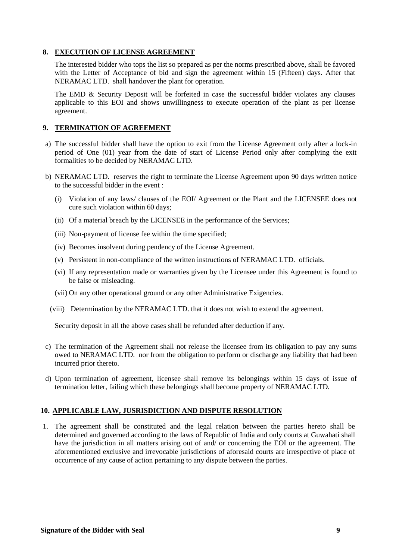### **8. EXECUTION OF LICENSE AGREEMENT**

The interested bidder who tops the list so prepared as per the norms prescribed above, shall be favored with the Letter of Acceptance of bid and sign the agreement within 15 (Fifteen) days. After that NERAMAC LTD. shall handover the plant for operation.

The EMD & Security Deposit will be forfeited in case the successful bidder violates any clauses applicable to this EOI and shows unwillingness to execute operation of the plant as per license agreement.

## **9. TERMINATION OF AGREEMENT**

- a) The successful bidder shall have the option to exit from the License Agreement only after a lock-in period of One (01) year from the date of start of License Period only after complying the exit formalities to be decided by NERAMAC LTD.
- b) NERAMAC LTD. reserves the right to terminate the License Agreement upon 90 days written notice to the successful bidder in the event :
	- (i) Violation of any laws/ clauses of the EOI/ Agreement or the Plant and the LICENSEE does not cure such violation within 60 days;
	- (ii) Of a material breach by the LICENSEE in the performance of the Services;
	- (iii) Non-payment of license fee within the time specified;
	- (iv) Becomes insolvent during pendency of the License Agreement.
	- (v) Persistent in non-compliance of the written instructions of NERAMAC LTD. officials.
	- (vi) If any representation made or warranties given by the Licensee under this Agreement is found to be false or misleading.
	- (vii) On any other operational ground or any other Administrative Exigencies.
	- (viii) Determination by the NERAMAC LTD. that it does not wish to extend the agreement.

Security deposit in all the above cases shall be refunded after deduction if any.

- c) The termination of the Agreement shall not release the licensee from its obligation to pay any sums owed to NERAMAC LTD. nor from the obligation to perform or discharge any liability that had been incurred prior thereto.
- d) Upon termination of agreement, licensee shall remove its belongings within 15 days of issue of termination letter, failing which these belongings shall become property of NERAMAC LTD.

## **10. APPLICABLE LAW, JUSRISDICTION AND DISPUTE RESOLUTION**

1. The agreement shall be constituted and the legal relation between the parties hereto shall be determined and governed according to the laws of Republic of India and only courts at Guwahati shall have the jurisdiction in all matters arising out of and/ or concerning the EOI or the agreement. The aforementioned exclusive and irrevocable jurisdictions of aforesaid courts are irrespective of place of occurrence of any cause of action pertaining to any dispute between the parties.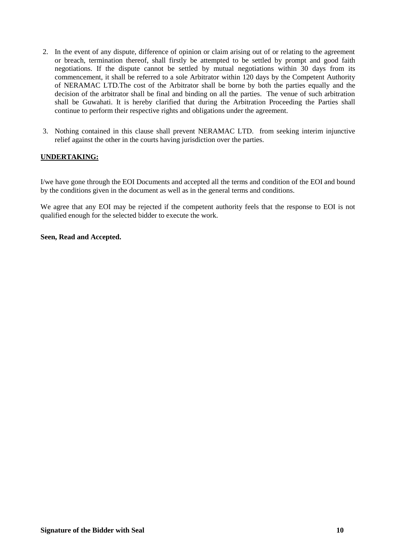- 2. In the event of any dispute, difference of opinion or claim arising out of or relating to the agreement or breach, termination thereof, shall firstly be attempted to be settled by prompt and good faith negotiations. If the dispute cannot be settled by mutual negotiations within 30 days from its commencement, it shall be referred to a sole Arbitrator within 120 days by the Competent Authority of NERAMAC LTD.The cost of the Arbitrator shall be borne by both the parties equally and the decision of the arbitrator shall be final and binding on all the parties. The venue of such arbitration shall be Guwahati. It is hereby clarified that during the Arbitration Proceeding the Parties shall continue to perform their respective rights and obligations under the agreement.
- 3. Nothing contained in this clause shall prevent NERAMAC LTD. from seeking interim injunctive relief against the other in the courts having jurisdiction over the parties.

# **UNDERTAKING:**

I/we have gone through the EOI Documents and accepted all the terms and condition of the EOI and bound by the conditions given in the document as well as in the general terms and conditions.

We agree that any EOI may be rejected if the competent authority feels that the response to EOI is not qualified enough for the selected bidder to execute the work.

### **Seen, Read and Accepted.**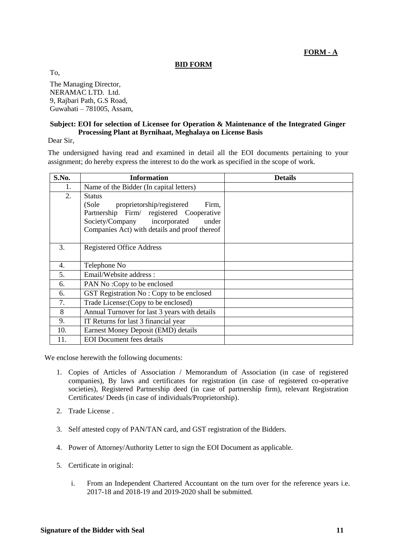**FORM - A**

## **BID FORM**

To,

The Managing Director, NERAMAC LTD. Ltd. 9, Rajbari Path, G.S Road, Guwahati – 781005, Assam,

### **Subject: EOI for selection of Licensee for Operation & Maintenance of the Integrated Ginger Processing Plant at Byrnihaat, Meghalaya on License Basis**

Dear Sir,

The undersigned having read and examined in detail all the EOI documents pertaining to your assignment; do hereby express the interest to do the work as specified in the scope of work.

| S.No. | <b>Information</b>                            | <b>Details</b> |
|-------|-----------------------------------------------|----------------|
| 1.    | Name of the Bidder (In capital letters)       |                |
| 2.    | <b>Status</b>                                 |                |
|       | (Sole<br>proprietorship/registered<br>Firm,   |                |
|       | Partnership Firm/ registered Cooperative      |                |
|       | Society/Company incorporated<br>under         |                |
|       | Companies Act) with details and proof thereof |                |
|       |                                               |                |
| 3.    | <b>Registered Office Address</b>              |                |
|       |                                               |                |
| 4.    | Telephone No                                  |                |
| 5.    | Email/Website address:                        |                |
| 6.    | PAN No: Copy to be enclosed                   |                |
| 6.    | GST Registration No: Copy to be enclosed      |                |
| 7.    | Trade License: (Copy to be enclosed)          |                |
| 8     | Annual Turnover for last 3 years with details |                |
| 9.    | IT Returns for last 3 financial year          |                |
| 10.   | Earnest Money Deposit (EMD) details           |                |
| 11.   | <b>EOI</b> Document fees details              |                |

We enclose herewith the following documents:

- 1. Copies of Articles of Association / Memorandum of Association (in case of registered companies), By laws and certificates for registration (in case of registered co-operative societies), Registered Partnership deed (in case of partnership firm), relevant Registration Certificates/ Deeds (in case of individuals/Proprietorship).
- 2. Trade License .
- 3. Self attested copy of PAN/TAN card, and GST registration of the Bidders.
- 4. Power of Attorney/Authority Letter to sign the EOI Document as applicable.
- 5. Certificate in original:
	- i. From an Independent Chartered Accountant on the turn over for the reference years i.e. 2017-18 and 2018-19 and 2019-2020 shall be submitted.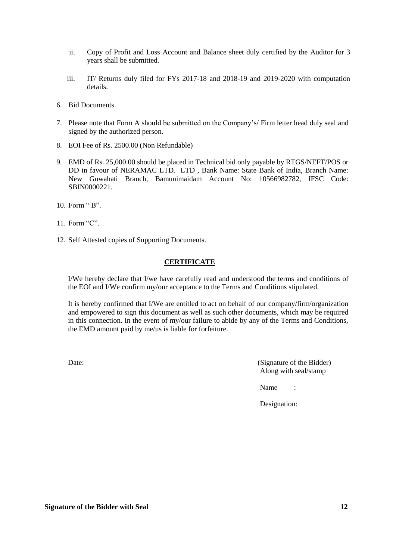- ii. Copy of Profit and Loss Account and Balance sheet duly certified by the Auditor for 3 years shall be submitted.
- iii. IT/ Returns duly filed for FYs 2017-18 and 2018-19 and 2019-2020 with computation details.
- 6. Bid Documents.
- 7. Please note that Form A should be submitted on the Company's/ Firm letter head duly seal and signed by the authorized person.
- 8. EOI Fee of Rs. 2500.00 (Non Refundable)
- 9. EMD of Rs. 25,000.00 should be placed in Technical bid only payable by RTGS/NEFT/POS or DD in favour of NERAMAC LTD. LTD , Bank Name: State Bank of India, Branch Name: New Guwahati Branch, Bamunimaidam Account No: 10566982782, IFSC Code: SBIN0000221
- 10. Form " B".
- 11. Form "C".
- 12. Self Attested copies of Supporting Documents.

## **CERTIFICATE**

I/We hereby declare that I/we have carefully read and understood the terms and conditions of the EOI and I/We confirm my/our acceptance to the Terms and Conditions stipulated.

It is hereby confirmed that I/We are entitled to act on behalf of our company/firm/organization and empowered to sign this document as well as such other documents, which may be required in this connection. In the event of my/our failure to abide by any of the Terms and Conditions, the EMD amount paid by me/us is liable for forfeiture.

Date: (Signature of the Bidder) Along with seal/stamp

Name :

Designation: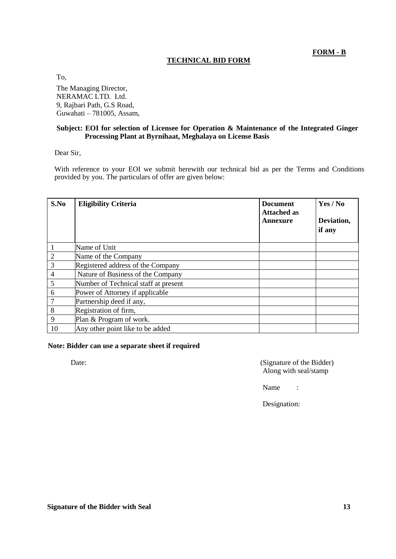**FORM - B**

# **TECHNICAL BID FORM**

To,

The Managing Director, NERAMAC LTD. Ltd. 9, Rajbari Path, G.S Road, Guwahati – 781005, Assam,

## **Subject: EOI for selection of Licensee for Operation & Maintenance of the Integrated Ginger Processing Plant at Byrnihaat, Meghalaya on License Basis**

Dear Sir,

With reference to your EOI we submit herewith our technical bid as per the Terms and Conditions provided by you. The particulars of offer are given below:

| S.No           | <b>Eligibility Criteria</b>          | <b>Document</b><br><b>Attached as</b><br>Annexure | Yes / No<br>Deviation,<br>if any |
|----------------|--------------------------------------|---------------------------------------------------|----------------------------------|
|                | Name of Unit                         |                                                   |                                  |
| $\overline{2}$ | Name of the Company                  |                                                   |                                  |
| 3              | Registered address of the Company    |                                                   |                                  |
| 4              | Nature of Business of the Company    |                                                   |                                  |
| 5              | Number of Technical staff at present |                                                   |                                  |
| 6              | Power of Attorney if applicable      |                                                   |                                  |
| 7              | Partnership deed if any,             |                                                   |                                  |
| 8              | Registration of firm,                |                                                   |                                  |
| 9              | Plan & Program of work.              |                                                   |                                  |
| 10             | Any other point like to be added     |                                                   |                                  |

## **Note: Bidder can use a separate sheet if required**

Date: (Signature of the Bidder) Along with seal/stamp

Name :

Designation: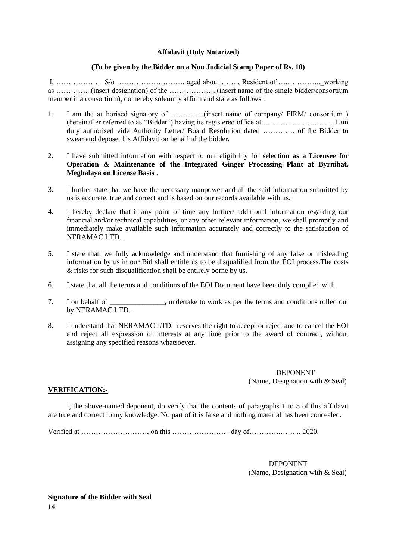### **Affidavit (Duly Notarized)**

### **(To be given by the Bidder on a Non Judicial Stamp Paper of Rs. 10)**

I, ……………… S/o ………………………, aged about ……., Resident of ….…………..\_working as …………...(insert designation) of the ………………..(insert name of the single bidder/consortium member if a consortium), do hereby solemnly affirm and state as follows :

- 1. I am the authorised signatory of …………..(insert name of company/ FIRM/ consortium ) (hereinafter referred to as "Bidder") having its registered office at ……………………….. I am duly authorised vide Authority Letter/ Board Resolution dated …………. of the Bidder to swear and depose this Affidavit on behalf of the bidder.
- 2. I have submitted information with respect to our eligibility for **selection as a Licensee for Operation & Maintenance of the Integrated Ginger Processing Plant at Byrnihat, Meghalaya on License Basis** .
- 3. I further state that we have the necessary manpower and all the said information submitted by us is accurate, true and correct and is based on our records available with us.
- 4. I hereby declare that if any point of time any further/ additional information regarding our financial and/or technical capabilities, or any other relevant information, we shall promptly and immediately make available such information accurately and correctly to the satisfaction of NERAMAC LTD. .
- 5. I state that, we fully acknowledge and understand that furnishing of any false or misleading information by us in our Bid shall entitle us to be disqualified from the EOI process.The costs & risks for such disqualification shall be entirely borne by us.
- 6. I state that all the terms and conditions of the EOI Document have been duly complied with.
- 7. I on behalf of \_\_\_\_\_\_\_\_\_\_\_\_, undertake to work as per the terms and conditions rolled out by NERAMAC LTD. .
- 8. I understand that NERAMAC LTD. reserves the right to accept or reject and to cancel the EOI and reject all expression of interests at any time prior to the award of contract, without assigning any specified reasons whatsoever.

 DEPONENT (Name, Designation with & Seal)

### **VERIFICATION:-**

I, the above-named deponent, do verify that the contents of paragraphs 1 to 8 of this affidavit are true and correct to my knowledge. No part of it is false and nothing material has been concealed.

Verified at ………………………, on this …………………. .day of………….…….., 2020.

**DEPONENT** (Name, Designation with & Seal)

**Signature of the Bidder with Seal 14**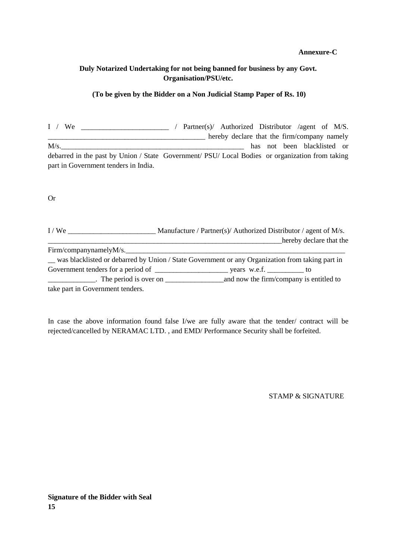#### **Annexure-C**

## **Duly Notarized Undertaking for not being banned for business by any Govt. Organisation/PSU/etc.**

#### **(To be given by the Bidder on a Non Judicial Stamp Paper of Rs. 10)**

I / We \_\_\_\_\_\_\_\_\_\_\_\_\_\_\_\_\_\_\_\_\_\_\_\_ / Partner(s)/ Authorized Distributor /agent of M/S. **EXECUTE:** Thereby declare that the firm/company namely M/s. debarred in the past by Union / State Government/ PSU/ Local Bodies or organization from taking part in Government tenders in India.

Or

| I/We                             | Manufacture / Partner(s)/ Authorized Distributor / agent of M/s.                                |
|----------------------------------|-------------------------------------------------------------------------------------------------|
|                                  | hereby declare that the                                                                         |
|                                  | Firm/companynamelyM/s.                                                                          |
|                                  | was blacklisted or debarred by Union / State Government or any Organization from taking part in |
|                                  | Government tenders for a period of years w.e.f. versus w.e.f.                                   |
|                                  | $\blacksquare$ The period is over on $\blacksquare$ and now the firm/company is entitled to     |
| take part in Government tenders. |                                                                                                 |

In case the above information found false I/we are fully aware that the tender/ contract will be rejected/cancelled by NERAMAC LTD. , and EMD/ Performance Security shall be forfeited.

STAMP & SIGNATURE